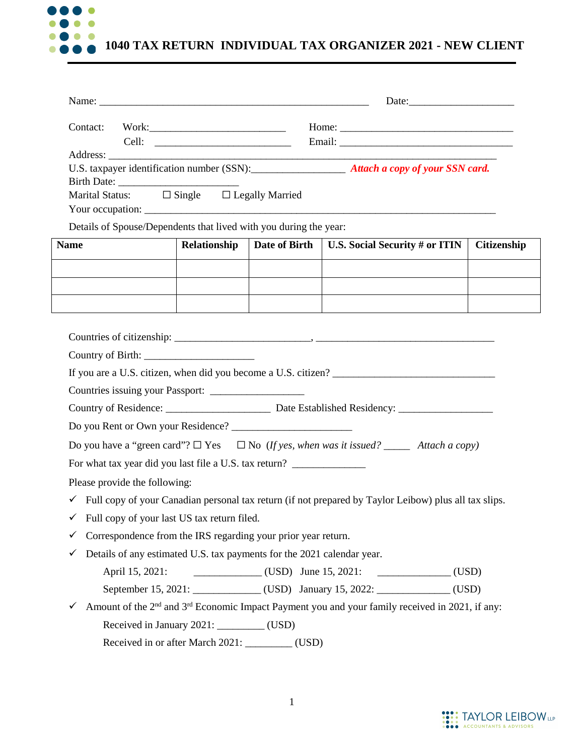

| Contact:                                                          | Home: $\frac{1}{\sqrt{1-\frac{1}{2}}\sqrt{1-\frac{1}{2}}\sqrt{1-\frac{1}{2}}\sqrt{1-\frac{1}{2}}\sqrt{1-\frac{1}{2}}\sqrt{1-\frac{1}{2}}\sqrt{1-\frac{1}{2}}\sqrt{1-\frac{1}{2}}\sqrt{1-\frac{1}{2}}\sqrt{1-\frac{1}{2}}\sqrt{1-\frac{1}{2}}\sqrt{1-\frac{1}{2}}\sqrt{1-\frac{1}{2}}\sqrt{1-\frac{1}{2}}\sqrt{1-\frac{1}{2}}\sqrt{1-\frac{1}{2}}\sqrt{1-\frac{1}{2}}\sqrt{1-\frac{1}{2}}\sqrt{1-\frac{1}{2}}$ |                        |                                                                                                                                                                                                                                  |                    |  |  |
|-------------------------------------------------------------------|---------------------------------------------------------------------------------------------------------------------------------------------------------------------------------------------------------------------------------------------------------------------------------------------------------------------------------------------------------------------------------------------------------------|------------------------|----------------------------------------------------------------------------------------------------------------------------------------------------------------------------------------------------------------------------------|--------------------|--|--|
|                                                                   |                                                                                                                                                                                                                                                                                                                                                                                                               |                        | U.S. taxpayer identification number (SSN): <b>Attach a copy of your SSN card.</b>                                                                                                                                                |                    |  |  |
| Marital Status: □ Single □ Legally Married                        |                                                                                                                                                                                                                                                                                                                                                                                                               |                        |                                                                                                                                                                                                                                  |                    |  |  |
| Details of Spouse/Dependents that lived with you during the year: |                                                                                                                                                                                                                                                                                                                                                                                                               |                        |                                                                                                                                                                                                                                  |                    |  |  |
| <b>Name</b>                                                       | Relationship                                                                                                                                                                                                                                                                                                                                                                                                  |                        | Date of Birth   U.S. Social Security # or ITIN                                                                                                                                                                                   | <b>Citizenship</b> |  |  |
|                                                                   |                                                                                                                                                                                                                                                                                                                                                                                                               |                        |                                                                                                                                                                                                                                  |                    |  |  |
|                                                                   |                                                                                                                                                                                                                                                                                                                                                                                                               |                        |                                                                                                                                                                                                                                  |                    |  |  |
|                                                                   |                                                                                                                                                                                                                                                                                                                                                                                                               |                        |                                                                                                                                                                                                                                  |                    |  |  |
|                                                                   |                                                                                                                                                                                                                                                                                                                                                                                                               |                        |                                                                                                                                                                                                                                  |                    |  |  |
|                                                                   |                                                                                                                                                                                                                                                                                                                                                                                                               |                        |                                                                                                                                                                                                                                  |                    |  |  |
|                                                                   |                                                                                                                                                                                                                                                                                                                                                                                                               |                        | If you are a U.S. citizen, when did you become a U.S. citizen?                                                                                                                                                                   |                    |  |  |
|                                                                   |                                                                                                                                                                                                                                                                                                                                                                                                               |                        |                                                                                                                                                                                                                                  |                    |  |  |
|                                                                   |                                                                                                                                                                                                                                                                                                                                                                                                               |                        |                                                                                                                                                                                                                                  |                    |  |  |
|                                                                   |                                                                                                                                                                                                                                                                                                                                                                                                               |                        |                                                                                                                                                                                                                                  |                    |  |  |
|                                                                   |                                                                                                                                                                                                                                                                                                                                                                                                               |                        | Do you have a "green card"? $\Box$ Yes $\Box$ No (If yes, when was it issued? _______ Attach a copy)                                                                                                                             |                    |  |  |
|                                                                   |                                                                                                                                                                                                                                                                                                                                                                                                               |                        | For what tax year did you last file a U.S. tax return?<br>The material continuous contract of the set of the set of the set of the set of the set of the set of the set of the set of the set of the set of the set of the set o |                    |  |  |
| Please provide the following:                                     |                                                                                                                                                                                                                                                                                                                                                                                                               |                        |                                                                                                                                                                                                                                  |                    |  |  |
|                                                                   |                                                                                                                                                                                                                                                                                                                                                                                                               |                        | $\checkmark$ Full copy of your Canadian personal tax return (if not prepared by Taylor Leibow) plus all tax slips.                                                                                                               |                    |  |  |
|                                                                   | Full copy of your last US tax return filed.                                                                                                                                                                                                                                                                                                                                                                   |                        |                                                                                                                                                                                                                                  |                    |  |  |
|                                                                   | Correspondence from the IRS regarding your prior year return.                                                                                                                                                                                                                                                                                                                                                 |                        |                                                                                                                                                                                                                                  |                    |  |  |
| ✓                                                                 | Details of any estimated U.S. tax payments for the 2021 calendar year.                                                                                                                                                                                                                                                                                                                                        |                        |                                                                                                                                                                                                                                  |                    |  |  |
| April 15, 2021:                                                   |                                                                                                                                                                                                                                                                                                                                                                                                               | $(USD)$ June 15, 2021: | $\overline{\phantom{a}}$ (USD)                                                                                                                                                                                                   |                    |  |  |
|                                                                   |                                                                                                                                                                                                                                                                                                                                                                                                               |                        | September 15, 2021: _____________(USD) January 15, 2022: ____________(USD)                                                                                                                                                       |                    |  |  |
|                                                                   |                                                                                                                                                                                                                                                                                                                                                                                                               |                        | Amount of the 2 <sup>nd</sup> and 3 <sup>rd</sup> Economic Impact Payment you and your family received in 2021, if any:                                                                                                          |                    |  |  |
|                                                                   | Received in January 2021: _________ (USD)                                                                                                                                                                                                                                                                                                                                                                     |                        |                                                                                                                                                                                                                                  |                    |  |  |
|                                                                   |                                                                                                                                                                                                                                                                                                                                                                                                               |                        |                                                                                                                                                                                                                                  |                    |  |  |

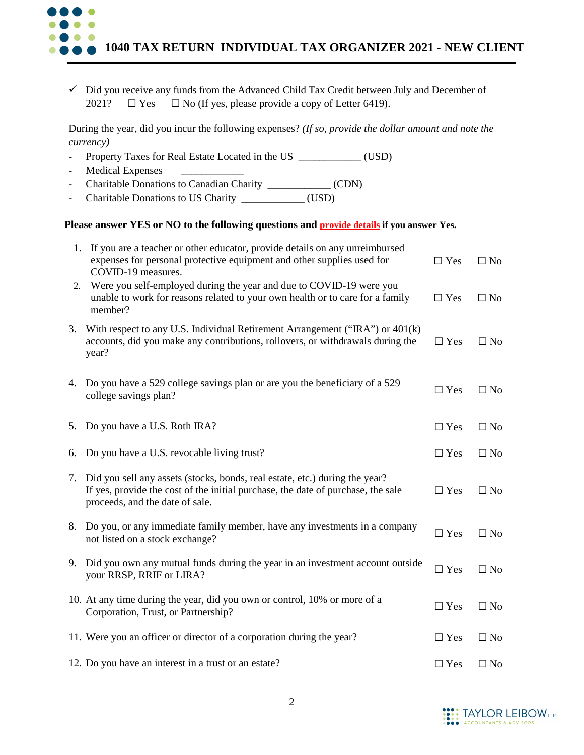| $\overline{\phantom{a}}$ | $\checkmark$ Did you receive any funds from the Advanced Child Tax Credit between July and December of<br>$\Box$ No (If yes, please provide a copy of Letter 6419).<br>2021?<br>$\Box$ Yes<br>During the year, did you incur the following expenses? (If so, provide the dollar amount and note the<br><i>currency</i> )<br>(USD) |                |              |
|--------------------------|-----------------------------------------------------------------------------------------------------------------------------------------------------------------------------------------------------------------------------------------------------------------------------------------------------------------------------------|----------------|--------------|
|                          |                                                                                                                                                                                                                                                                                                                                   |                |              |
|                          |                                                                                                                                                                                                                                                                                                                                   |                |              |
|                          | <b>Medical Expenses</b>                                                                                                                                                                                                                                                                                                           |                |              |
|                          | Charitable Donations to Canadian Charity ______________ (CDN)<br>Charitable Donations to US Charity ______________ (USD)                                                                                                                                                                                                          |                |              |
|                          | Please answer YES or NO to the following questions and <b>provide details</b> if you answer Yes.                                                                                                                                                                                                                                  |                |              |
| 1.                       | If you are a teacher or other educator, provide details on any unreimbursed<br>expenses for personal protective equipment and other supplies used for<br>COVID-19 measures.                                                                                                                                                       | $\Box$ Yes     | $\Box$ No    |
| 2.                       | Were you self-employed during the year and due to COVID-19 were you<br>unable to work for reasons related to your own health or to care for a family<br>member?                                                                                                                                                                   | $\Box$ Yes     | $\Box$ No    |
| 3.                       | With respect to any U.S. Individual Retirement Arrangement ("IRA") or 401(k)<br>accounts, did you make any contributions, rollovers, or withdrawals during the<br>year?                                                                                                                                                           | $\Box$ Yes     | $\Box$ No    |
|                          | 4. Do you have a 529 college savings plan or are you the beneficiary of a 529<br>college savings plan?                                                                                                                                                                                                                            | $\Box$ Yes     | $\square$ No |
|                          | 5. Do you have a U.S. Roth IRA?                                                                                                                                                                                                                                                                                                   | $\Box$ Yes     | $\Box$ No    |
|                          | 6. Do you have a U.S. revocable living trust?                                                                                                                                                                                                                                                                                     | $\Box$ Yes     | $\Box$ No    |
| 7.                       | Did you sell any assets (stocks, bonds, real estate, etc.) during the year?<br>If yes, provide the cost of the initial purchase, the date of purchase, the sale<br>proceeds, and the date of sale.                                                                                                                                | $\Box$ Yes     | $\Box$ No    |
|                          | 8. Do you, or any immediate family member, have any investments in a company<br>not listed on a stock exchange?                                                                                                                                                                                                                   | $\Box$ Yes<br> | $\Box$ No    |
| 9.                       | Did you own any mutual funds during the year in an investment account outside<br>your RRSP, RRIF or LIRA?                                                                                                                                                                                                                         | $\Box$ Yes     | $\Box$ No    |
|                          | 10. At any time during the year, did you own or control, 10% or more of a<br>Corporation, Trust, or Partnership?                                                                                                                                                                                                                  | $\Box$ Yes     | $\Box$ No    |
|                          | 11. Were you an officer or director of a corporation during the year?                                                                                                                                                                                                                                                             | $\Box$ Yes     | $\Box$ No    |

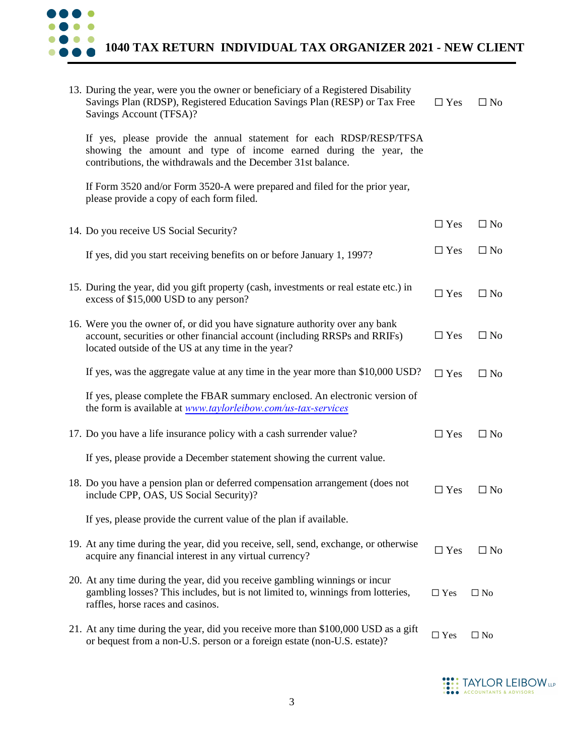

**1040 TAX RETURN INDIVIDUAL TAX ORGANIZER 2021 - NEW CLIENT**

| 13. During the year, were you the owner or beneficiary of a Registered Disability<br>Savings Plan (RDSP), Registered Education Savings Plan (RESP) or Tax Free<br>Savings Account (TFSA)?                        | $\Box$ Yes | $\Box$ No    |
|------------------------------------------------------------------------------------------------------------------------------------------------------------------------------------------------------------------|------------|--------------|
| If yes, please provide the annual statement for each RDSP/RESP/TFSA<br>showing the amount and type of income earned during the year, the<br>contributions, the withdrawals and the December 31st balance.        |            |              |
| If Form 3520 and/or Form 3520-A were prepared and filed for the prior year,<br>please provide a copy of each form filed.                                                                                         |            |              |
| 14. Do you receive US Social Security?                                                                                                                                                                           | $\Box$ Yes | $\Box$ No    |
| If yes, did you start receiving benefits on or before January 1, 1997?                                                                                                                                           | $\Box$ Yes | $\Box$ No    |
| 15. During the year, did you gift property (cash, investments or real estate etc.) in<br>excess of \$15,000 USD to any person?                                                                                   | $\Box$ Yes | $\Box$ No    |
| 16. Were you the owner of, or did you have signature authority over any bank<br>account, securities or other financial account (including RRSPs and RRIFs)<br>located outside of the US at any time in the year? | $\Box$ Yes | $\Box$ No    |
| If yes, was the aggregate value at any time in the year more than \$10,000 USD?                                                                                                                                  | $\Box$ Yes | $\Box$ No    |
| If yes, please complete the FBAR summary enclosed. An electronic version of<br>the form is available at www.taylorleibow.com/us-tax-services                                                                     |            |              |
| 17. Do you have a life insurance policy with a cash surrender value?                                                                                                                                             | $\Box$ Yes | $\Box$ No    |
| If yes, please provide a December statement showing the current value.                                                                                                                                           |            |              |
| 18. Do you have a pension plan or deferred compensation arrangement (does not<br>include CPP, OAS, US Social Security)?                                                                                          | $\Box$ Yes | $\Box$ No    |
| If yes, please provide the current value of the plan if available.                                                                                                                                               |            |              |
| 19. At any time during the year, did you receive, sell, send, exchange, or otherwise<br>acquire any financial interest in any virtual currency?                                                                  | $\Box$ Yes | $\Box$ No    |
| 20. At any time during the year, did you receive gambling winnings or incur<br>gambling losses? This includes, but is not limited to, winnings from lotteries,<br>raffles, horse races and casinos.              | $\Box$ Yes | $\Box$ No    |
| 21. At any time during the year, did you receive more than \$100,000 USD as a gift<br>or bequest from a non-U.S. person or a foreign estate (non-U.S. estate)?                                                   | $\Box$ Yes | $\square$ No |
|                                                                                                                                                                                                                  |            |              |